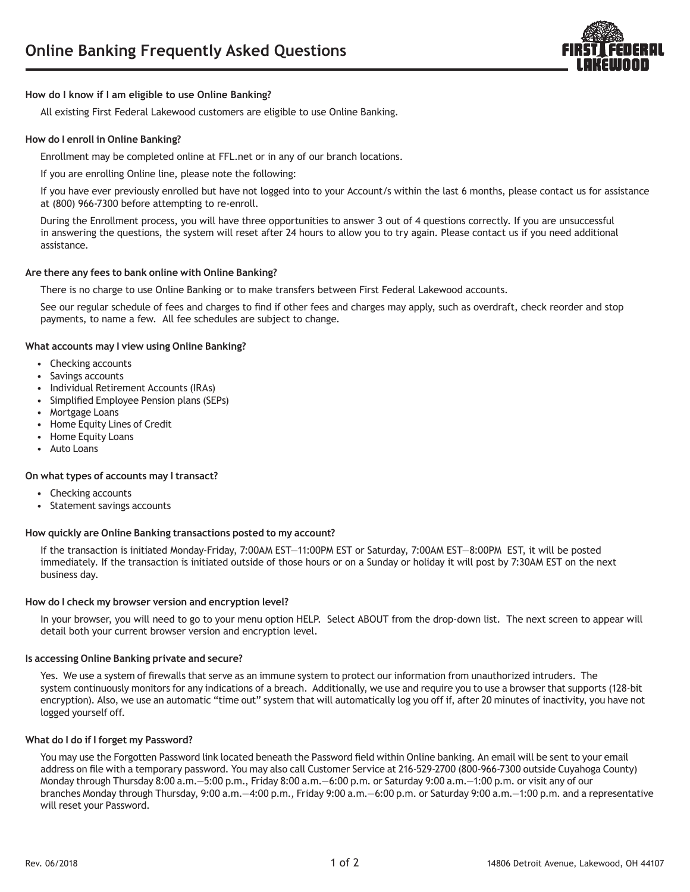

# **How do I know if I am eligible to use Online Banking?**

All existing First Federal Lakewood customers are eligible to use Online Banking.

# **How do I enroll in Online Banking?**

Enrollment may be completed online at FFL.net or in any of our branch locations.

If you are enrolling Online line, please note the following:

If you have ever previously enrolled but have not logged into to your Account/s within the last 6 months, please contact us for assistance at (800) 966-7300 before attempting to re-enroll.

During the Enrollment process, you will have three opportunities to answer 3 out of 4 questions correctly. If you are unsuccessful in answering the questions, the system will reset after 24 hours to allow you to try again. Please contact us if you need additional assistance.

### **Are there any fees to bank online with Online Banking?**

There is no charge to use Online Banking or to make transfers between First Federal Lakewood accounts.

See our regular schedule of fees and charges to find if other fees and charges may apply, such as overdraft, check reorder and stop payments, to name a few. All fee schedules are subject to change.

#### **What accounts may I view using Online Banking?**

- Checking accounts
- Savings accounts
- Individual Retirement Accounts (IRAs)
- Simplified Employee Pension plans (SEPs)
- Mortgage Loans
- Home Equity Lines of Credit
- Home Equity Loans
- Auto Loans

### **On what types of accounts may I transact?**

- Checking accounts
- Statement savings accounts

### **How quickly are Online Banking transactions posted to my account?**

If the transaction is initiated Monday-Friday, 7:00AM EST—11:00PM EST or Saturday, 7:00AM EST—8:00PM EST, it will be posted immediately. If the transaction is initiated outside of those hours or on a Sunday or holiday it will post by 7:30AM EST on the next business day.

#### **How do I check my browser version and encryption level?**

In your browser, you will need to go to your menu option HELP. Select ABOUT from the drop-down list. The next screen to appear will detail both your current browser version and encryption level.

### **Is accessing Online Banking private and secure?**

Yes. We use a system of firewalls that serve as an immune system to protect our information from unauthorized intruders. The system continuously monitors for any indications of a breach. Additionally, we use and require you to use a browser that supports (128-bit encryption). Also, we use an automatic "time out" system that will automatically log you off if, after 20 minutes of inactivity, you have not logged yourself off.

### **What do I do if I forget my Password?**

You may use the Forgotten Password link located beneath the Password field within Online banking. An email will be sent to your email address on file with a temporary password. You may also call Customer Service at 216-529-2700 (800-966-7300 outside Cuyahoga County) Monday through Thursday 8:00 a.m.—5:00 p.m., Friday 8:00 a.m.—6:00 p.m. or Saturday 9:00 a.m.—1:00 p.m. or visit any of our branches Monday through Thursday, 9:00 a.m.—4:00 p.m., Friday 9:00 a.m.—6:00 p.m. or Saturday 9:00 a.m.—1:00 p.m. and a representative will reset your Password.